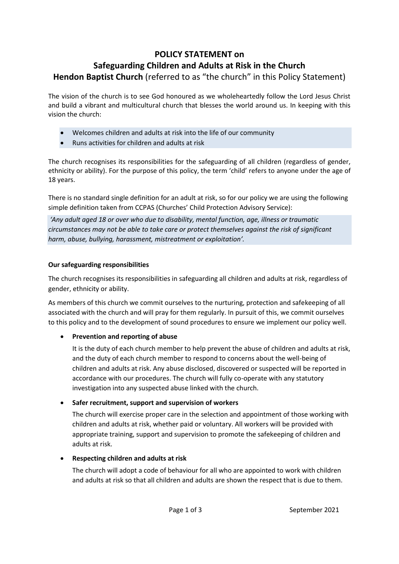# **POLICY STATEMENT on Safeguarding Children and Adults at Risk in the Church Hendon Baptist Church** (referred to as "the church" in this Policy Statement)

The vision of the church is to see God honoured as we wholeheartedly follow the Lord Jesus Christ and build a vibrant and multicultural church that blesses the world around us. In keeping with this vision the church:

- Welcomes children and adults at risk into the life of our community
- Runs activities for children and adults at risk

The church recognises its responsibilities for the safeguarding of all children (regardless of gender, ethnicity or ability). For the purpose of this policy, the term 'child' refers to anyone under the age of 18 years.

There is no standard single definition for an adult at risk, so for our policy we are using the following simple definition taken from CCPAS (Churches' Child Protection Advisory Service):

*'Any adult aged 18 or over who due to disability, mental function, age, illness or traumatic circumstances may not be able to take care or protect themselves against the risk of significant harm, abuse, bullying, harassment, mistreatment or exploitation'.*

### **Our safeguarding responsibilities**

The church recognises its responsibilities in safeguarding all children and adults at risk, regardless of gender, ethnicity or ability.

As members of this church we commit ourselves to the nurturing, protection and safekeeping of all associated with the church and will pray for them regularly. In pursuit of this, we commit ourselves to this policy and to the development of sound procedures to ensure we implement our policy well.

## • **Prevention and reporting of abuse**

It is the duty of each church member to help prevent the abuse of children and adults at risk, and the duty of each church member to respond to concerns about the well-being of children and adults at risk. Any abuse disclosed, discovered or suspected will be reported in accordance with our procedures. The church will fully co-operate with any statutory investigation into any suspected abuse linked with the church.

## • **Safer recruitment, support and supervision of workers**

The church will exercise proper care in the selection and appointment of those working with children and adults at risk, whether paid or voluntary. All workers will be provided with appropriate training, support and supervision to promote the safekeeping of children and adults at risk.

#### • **Respecting children and adults at risk**

The church will adopt a code of behaviour for all who are appointed to work with children and adults at risk so that all children and adults are shown the respect that is due to them.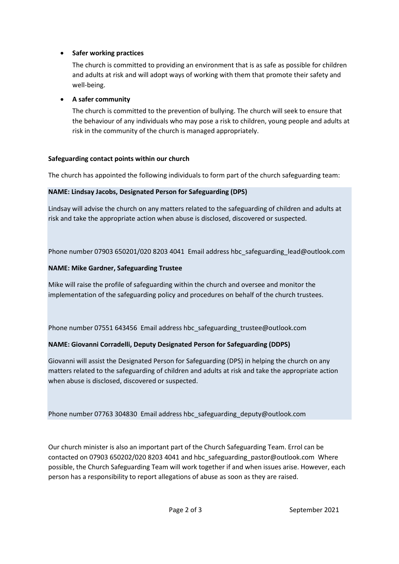#### • **Safer working practices**

The church is committed to providing an environment that is as safe as possible for children and adults at risk and will adopt ways of working with them that promote their safety and well-being.

### • **A safer community**

The church is committed to the prevention of bullying. The church will seek to ensure that the behaviour of any individuals who may pose a risk to children, young people and adults at risk in the community of the church is managed appropriately.

#### **Safeguarding contact points within our church**

The church has appointed the following individuals to form part of the church safeguarding team:

### **NAME: Lindsay Jacobs, Designated Person for Safeguarding (DPS)**

Lindsay will advise the church on any matters related to the safeguarding of children and adults at risk and take the appropriate action when abuse is disclosed, discovered or suspected.

Phone number 07903 650201/020 8203 4041 Email address hbc safeguarding lead@outlook.com

## **NAME: Mike Gardner, Safeguarding Trustee**

Mike will raise the profile of safeguarding within the church and oversee and monitor the implementation of the safeguarding policy and procedures on behalf of the church trustees.

Phone number 07551 643456 Email address hbc\_safeguarding\_trustee@outlook.com

## **NAME: Giovanni Corradelli, Deputy Designated Person for Safeguarding (DDPS)**

Giovanni will assist the Designated Person for Safeguarding (DPS) in helping the church on any matters related to the safeguarding of children and adults at risk and take the appropriate action when abuse is disclosed, discovered or suspected.

Phone number 07763 304830 Email address hbc\_safeguarding\_deputy@outlook.com

Our church minister is also an important part of the Church Safeguarding Team. Errol can be contacted on 07903 650202/020 8203 4041 and hbc\_safeguarding\_pastor@outlook.com Where possible, the Church Safeguarding Team will work together if and when issues arise. However, each person has a responsibility to report allegations of abuse as soon as they are raised.